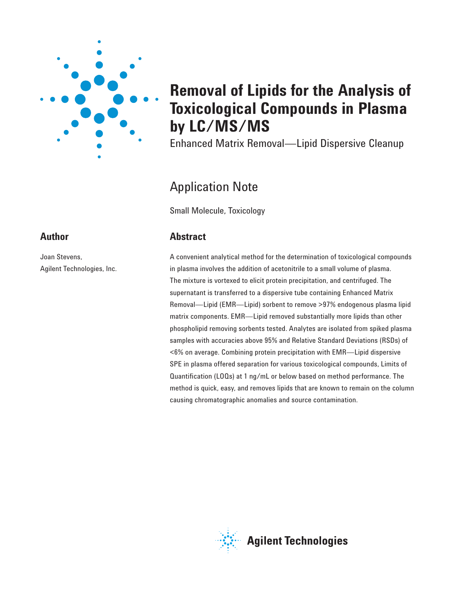

# **Removal of Lipids for the Analysis of Toxicological Compounds in Plasma by LC/MS/MS**

Enhanced Matrix Removal—Lipid Dispersive Cleanup

# Application Note

Small Molecule, Toxicology

# **Abstract**

A convenient analytical method for the determination of toxicological compounds in plasma involves the addition of acetonitrile to a small volume of plasma. The mixture is vortexed to elicit protein precipitation, and centrifuged. The supernatant is transferred to a dispersive tube containing Enhanced Matrix Removal—Lipid (EMR—Lipid) sorbent to remove >97% endogenous plasma lipid matrix components. EMR—Lipid removed substantially more lipids than other phospholipid removing sorbents tested. Analytes are isolated from spiked plasma samples with accuracies above 95% and Relative Standard Deviations (RSDs) of <6% on average. Combining protein precipitation with EMR—Lipid dispersive SPE in plasma offered separation for various toxicological compounds, Limits of Quantification (LOQs) at 1 ng/mL or below based on method performance. The method is quick, easy, and removes lipids that are known to remain on the column causing chromatographic anomalies and source contamination.

# **Agilent Technologies**

# **Author**

Joan Stevens, Agilent Technologies, Inc.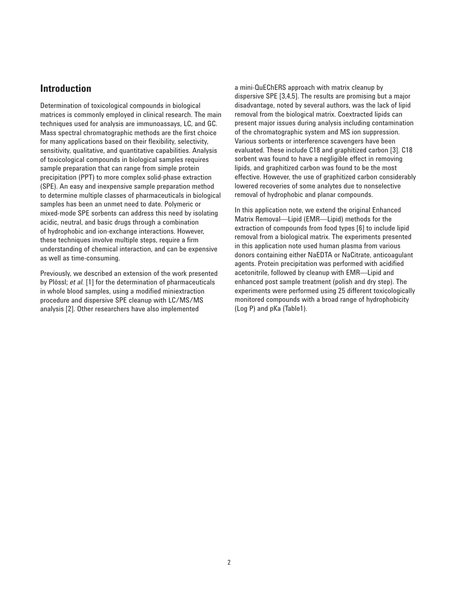#### **Introduction**

Determination of toxicological compounds in biological matrices is commonly employed in clinical research. The main techniques used for analysis are immunoassays, LC, and GC. Mass spectral chromatographic methods are the first choice for many applications based on their flexibility, selectivity, sensitivity, qualitative, and quantitative capabilities. Analysis of toxicological compounds in biological samples requires sample preparation that can range from simple protein precipitation (PPT) to more complex solid-phase extraction (SPE). An easy and inexpensive sample preparation method to determine multiple classes of pharmaceuticals in biological samples has been an unmet need to date. Polymeric or mixed-mode SPE sorbents can address this need by isolating acidic, neutral, and basic drugs through a combination of hydrophobic and ion-exchange interactions. However, these techniques involve multiple steps, require a firm understanding of chemical interaction, and can be expensive as well as time-consuming.

Previously, we described an extension of the work presented by Plössl; *et al.* [1] for the determination of pharmaceuticals in whole blood samples, using a modified miniextraction procedure and dispersive SPE cleanup with LC/MS/MS analysis [2]. Other researchers have also implemented

a mini-QuEChERS approach with matrix cleanup by dispersive SPE [3,4,5]. The results are promising but a major disadvantage, noted by several authors, was the lack of lipid removal from the biological matrix. Coextracted lipids can present major issues during analysis including contamination of the chromatographic system and MS ion suppression. Various sorbents or interference scavengers have been evaluated. These include C18 and graphitized carbon [3]. C18 sorbent was found to have a negligible effect in removing lipids, and graphitized carbon was found to be the most effective. However, the use of graphitized carbon considerably lowered recoveries of some analytes due to nonselective removal of hydrophobic and planar compounds.

In this application note, we extend the original Enhanced Matrix Removal—Lipid (EMR—Lipid) methods for the extraction of compounds from food types [6] to include lipid removal from a biological matrix. The experiments presented in this application note used human plasma from various donors containing either NaEDTA or NaCitrate, anticoagulant agents. Protein precipitation was performed with acidified acetonitrile, followed by cleanup with EMR—Lipid and enhanced post sample treatment (polish and dry step). The experiments were performed using 25 different toxicologically monitored compounds with a broad range of hydrophobicity (Log P) and pKa (Table1).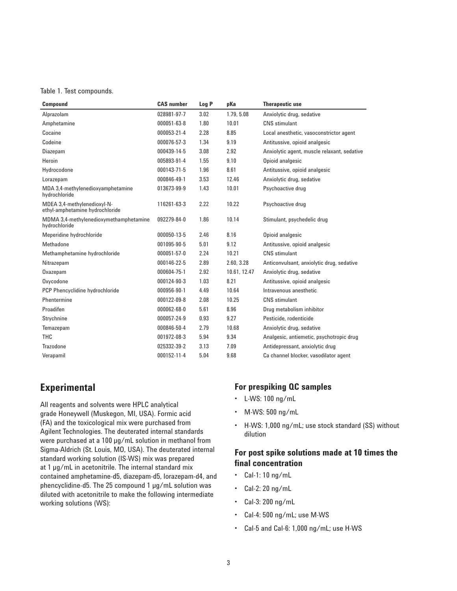Table 1. Test compounds.

| <b>Compound</b>                                                | <b>CAS</b> number | Log P | pKa          | <b>Therapeutic use</b>                      |
|----------------------------------------------------------------|-------------------|-------|--------------|---------------------------------------------|
| Alprazolam                                                     | 028981-97-7       | 3.02  | 1.79, 5.08   | Anxiolytic drug, sedative                   |
| Amphetamine                                                    | 000051-63-8       | 1.80  | 10.01        | CNS stimulant                               |
| Cocaine                                                        | 000053-21-4       | 2.28  | 8.85         | Local anesthetic, vasoconstrictor agent     |
| Codeine                                                        | 000076-57-3       | 1.34  | 9.19         | Antitussive, opioid analgesic               |
| Diazepam                                                       | 000439-14-5       | 3.08  | 2.92         | Anxiolytic agent, muscle relaxant, sedative |
| Heroin                                                         | 005893-91-4       | 1.55  | 9.10         | Opioid analgesic                            |
| Hydrocodone                                                    | 000143-71-5       | 1.96  | 8.61         | Antitussive, opioid analgesic               |
| Lorazepam                                                      | 000846-49-1       | 3.53  | 12.46        | Anxiolytic drug, sedative                   |
| MDA 3,4-methylenedioxyamphetamine<br>hydrochloride             | 013673-99-9       | 1.43  | 10.01        | Psychoactive drug                           |
| MDEA 3,4-methylenedioxyl-N-<br>ethyl-amphetamine hydrochloride | 116261-63-3       | 2.22  | 10.22        | Psychoactive drug                           |
| MDMA 3,4-methylenedioxymethamphetamine<br>hydrochloride        | 092279-84-0       | 1.86  | 10.14        | Stimulant, psychedelic drug                 |
| Meperidine hydrochloride                                       | 000050-13-5       | 2.46  | 8.16         | Opioid analgesic                            |
| Methadone                                                      | 001095-90-5       | 5.01  | 9.12         | Antitussive, opioid analgesic               |
| Methamphetamine hydrochloride                                  | 000051-57-0       | 2.24  | 10.21        | CNS stimulant                               |
| Nitrazepam                                                     | 000146-22-5       | 2.89  | 2.60, 3.28   | Anticonvulsant, anxiolytic drug, sedative   |
| Oxazepam                                                       | 000604-75-1       | 2.92  | 10.61, 12.47 | Anxiolytic drug, sedative                   |
| Oxycodone                                                      | 000124-90-3       | 1.03  | 8.21         | Antitussive, opioid analgesic               |
| PCP Phencyclidine hydrochloride                                | 000956-90-1       | 4.49  | 10.64        | Intravenous anesthetic                      |
| Phentermine                                                    | 000122-09-8       | 2.08  | 10.25        | <b>CNS</b> stimulant                        |
| Proadifen                                                      | 000062-68-0       | 5.61  | 8.96         | Drug metabolism inhibitor                   |
| Strychnine                                                     | 000057-24-9       | 0.93  | 9.27         | Pesticide, rodenticide                      |
| Temazepam                                                      | 000846-50-4       | 2.79  | 10.68        | Anxiolytic drug, sedative                   |
| <b>THC</b>                                                     | 001972-08-3       | 5.94  | 9.34         | Analgesic, antiemetic, psychotropic drug    |
| Trazodone                                                      | 025332-39-2       | 3.13  | 7.09         | Antidepressant, anxiolytic drug             |
| Verapamil                                                      | 000152-11-4       | 5.04  | 9.68         | Ca channel blocker, vasodilator agent       |

## **Experimental**

All reagents and solvents were HPLC analytical grade Honeywell (Muskegon, MI, USA). Formic acid (FA) and the toxicological mix were purchased from Agilent Technologies. The deuterated internal standards were purchased at a 100 µg/mL solution in methanol from Sigma-Aldrich (St. Louis, MO, USA). The deuterated internal standard working solution (IS-WS) mix was prepared at 1 µg/mL in acetonitrile. The internal standard mix contained amphetamine-d5, diazepam-d5, lorazepam-d4, and phencyclidine-d5. The 25 compound 1 µg/mL solution was diluted with acetonitrile to make the following intermediate working solutions (WS):

#### **For prespiking QC samples**

- L-WS: 100 ng/mL
- M-WS: 500 ng/mL
- H-WS: 1,000 ng/mL; use stock standard (SS) without dilution

#### **For post spike solutions made at 10 times the final concentration**

- $\cdot$  Cal-1: 10 ng/mL
- Cal-2: 20 ng/mL
- Cal-3: 200 ng/mL
- Cal-4: 500 ng/mL; use M-WS
- Cal-5 and Cal-6: 1,000 ng/mL; use H-WS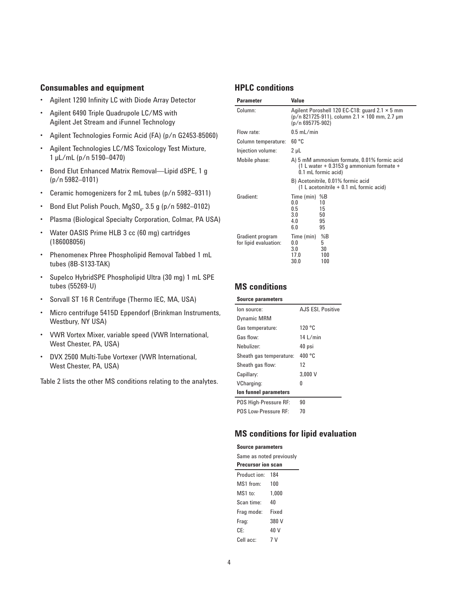#### **Consumables and equipment**

- Agilent 1290 Infinity LC with Diode Array Detector
- Agilent 6490 Triple Quadrupole LC/MS with Agilent Jet Stream and iFunnel Technology
- Agilent Technologies Formic Acid (FA) (p/n G2453-85060)
- Agilent Technologies LC/MS Toxicology Test Mixture, 1 µL/mL (p/n 5190–0470)
- Bond Elut Enhanced Matrix Removal—Lipid dSPE, 1 g (p/n 5982–0101)
- Ceramic homogenizers for 2 mL tubes (p/n 5982–9311)
- Bond Elut Polish Pouch, MgSO<sub>4</sub>, 3.5 g (p/n 5982–0102)
- Plasma (Biological Specialty Corporation, Colmar, PA USA)
- Water OASIS Prime HLB 3 cc (60 mg) cartridges (186008056)
- Phenomenex Phree Phospholipid Removal Tabbed 1 mL tubes (8B-S133-TAK)
- Supelco HybridSPE Phospholipid Ultra (30 mg) 1 mL SPE tubes (55269-U)
- Sorvall ST 16 R Centrifuge (Thermo IEC, MA, USA)
- Micro centrifuge 5415D Eppendorf (Brinkman Instruments, Westbury, NY USA)
- VWR Vortex Mixer, variable speed (VWR International, West Chester, PA, USA)
- DVX 2500 Multi-Tube Vortexer (VWR International, West Chester, PA, USA)

Table 2 lists the other MS conditions relating to the analytes.

#### **HPLC conditions**

| <b>Parameter</b>                          | Value                                                                                                                         |                                                                                                                  |  |  |  |
|-------------------------------------------|-------------------------------------------------------------------------------------------------------------------------------|------------------------------------------------------------------------------------------------------------------|--|--|--|
| Column:                                   | Agilent Poroshell 120 EC-C18: guard 2.1 $\times$ 5 mm<br>$(p/n 821725-911)$ , column 2.1 × 100 mm, 2.7 µm<br>(p/n 695775-902) |                                                                                                                  |  |  |  |
| Flow rate:                                | $0.5$ mL/min                                                                                                                  |                                                                                                                  |  |  |  |
| Column temperature:                       | 60 °C                                                                                                                         |                                                                                                                  |  |  |  |
| Injection volume:                         | $2 \mu L$                                                                                                                     |                                                                                                                  |  |  |  |
| Mobile phase:                             |                                                                                                                               | A) 5 mM ammonium formate, 0.01% formic acid<br>$(1 L water + 0.3153 g$ ammonium formate +<br>0.1 mL formic acid) |  |  |  |
|                                           |                                                                                                                               | B) Acetonitrile, 0.01% formic acid<br>$(1 L$ acetonitrile $+ 0.1$ mL formic acid)                                |  |  |  |
| Gradient:                                 | Time (min)<br>0.0<br>0.5<br>3.0<br>4.0<br>6.0                                                                                 | %B<br>10<br>15<br>50<br>95<br>95                                                                                 |  |  |  |
| Gradient program<br>for lipid evaluation: | Time (min)<br>0.0<br>3.0<br>17.0<br>30.0                                                                                      | %B<br>5<br>30<br>100<br>100                                                                                      |  |  |  |

#### **MS conditions**

#### **Source parameters** Ion source: AJS ESI, Positive Dynamic MRM Gas temperature: 120 °C Gas flow: 14 L/min Nebulizer: 40 psi Sheath gas temperature: 400 °C Sheath gas flow: 12

| Capillary:                  | 3.000V |
|-----------------------------|--------|
| VCharging:                  | n      |
| Ion funnel parameters       |        |
| POS High-Pressure RF:       | 90     |
| <b>POS Low-Pressure RF:</b> | 70     |

#### **MS conditions for lipid evaluation**

| <b>Source parameters</b>  |       |  |  |  |
|---------------------------|-------|--|--|--|
| Same as noted previously  |       |  |  |  |
| <b>Precursor ion scan</b> |       |  |  |  |
| Product ion: 184          |       |  |  |  |
| MS1 from:                 | 100   |  |  |  |
| $MS1$ to:                 | 1.000 |  |  |  |
| Scan time:                | 40    |  |  |  |
| Frag mode:                | Fixed |  |  |  |
| Frag:                     | 380 V |  |  |  |
| CF۰                       | 40 V  |  |  |  |
| Cell acc:                 | 7 V   |  |  |  |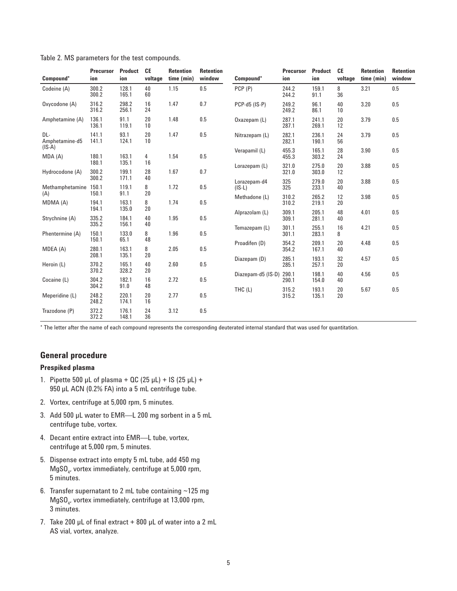| Compound*              | <b>Precursor</b><br>ion | <b>Product</b><br>ion   | <b>CE</b><br>voltage | <b>Retention</b><br>time (min) | <b>Retention</b><br>window | Compound*                | <b>Precursor</b><br>ion | <b>Product</b><br>ion | <b>CE</b><br>voltage | <b>Retention</b><br>time (min) | <b>Retention</b><br>window |
|------------------------|-------------------------|-------------------------|----------------------|--------------------------------|----------------------------|--------------------------|-------------------------|-----------------------|----------------------|--------------------------------|----------------------------|
| Codeine (A)            | 300.2<br>300.2          | 128.1<br>165.1          | 40<br>60             | 1.15                           | 0.5                        | PCP (P)                  | 244.2<br>244.2          | 159.1<br>91.1         | 8<br>36              | 3.21                           | 0.5                        |
| Oxycodone (A)          | 316.2<br>316.2          | 298.2<br>256.1          | 16<br>24             | 1.47                           | 0.7                        | PCP-d5 (IS-P)            | 249.2<br>249.2          | 96.1<br>86.1          | 40<br>10             | 3.20                           | 0.5                        |
| Amphetamine (A)        | 136.1<br>136.1          | 91.1<br>119.1           | 20<br>10             | 1.48                           | 0.5                        | Oxazepam (L)             | 287.1<br>287.1          | 241.1<br>269.1        | 20<br>12             | 3.79                           | 0.5                        |
| DL-<br>Amphetamine-d5  | 141.1<br>141.1          | 93.1<br>124.1           | 20<br>10             | 1.47                           | 0.5                        | Nitrazepam (L)           | 282.1<br>282.1          | 236.1<br>190.1        | 24<br>56             | 3.79                           | 0.5                        |
| $(IS-A)$<br>MDA (A)    | 180.1                   | 163.1                   | 4                    | 1.54                           | 0.5                        | Verapamil (L)            | 455.3<br>455.3          | 165.1<br>303.2        | 28<br>24             | 3.90                           | 0.5                        |
| Hydrocodone (A)        | 180.1<br>300.2<br>300.2 | 135.1<br>199.1<br>171.1 | 16<br>28<br>40       | 1.67                           | 0.7                        | Lorazepam (L)            | 321.0<br>321.0          | 275.0<br>303.0        | 20<br>12             | 3.88                           | 0.5                        |
| Methamphetamine<br>(A) | 150.1<br>150.1          | 119.1<br>91.1           | 8<br>20              | 1.72                           | 0.5                        | Lorazepam-d4<br>$(IS-L)$ | 325<br>325              | 279.0<br>233.1        | 20<br>40             | 3.88                           | 0.5                        |
| MDMA (A)               | 194.1<br>194.1          | 163.1<br>135.0          | 8<br>20              | 1.74                           | 0.5                        | Methadone (L)            | 310.2<br>310.2          | 265.2<br>219.1        | 12<br>20             | 3.98                           | 0.5                        |
| Strychnine (A)         | 335.2<br>335.2          | 184.1<br>156.1          | 40<br>40             | 1.95                           | 0.5                        | Alprazolam (L)           | 309.1<br>309.1          | 205.1<br>281.1        | 48<br>40             | 4.01                           | 0.5                        |
| Phentermine (A)        | 150.1<br>150.1          | 133.0<br>65.1           | 8<br>48              | 1.96                           | 0.5                        | Temazepam (L)            | 301.1<br>301.1          | 255.1<br>283.1        | 16<br>8              | 4.21                           | 0.5                        |
| MDEA (A)               | 280.1<br>208.1          | 163.1<br>135.1          | 8<br>20              | 2.05                           | 0.5                        | Proadifen (D)            | 354.2<br>354.2          | 209.1<br>167.1        | 20<br>40             | 4.48                           | 0.5                        |
| Heroin (L)             | 370.2<br>370.2          | 165.1<br>328.2          | 40<br>20             | 2.60                           | 0.5                        | Diazepam (D)             | 285.1<br>285.1          | 193.1<br>257.1        | 32<br>20             | 4.57                           | 0.5                        |
| Cocaine (L)            | 304.2<br>304.2          | 182.1<br>91.0           | 16<br>48             | 2.72                           | 0.5                        | Diazepam-d5 (IS-D)       | 290.1<br>290.1          | 198.1<br>154.0        | 40<br>40             | 4.56                           | 0.5                        |
| Meperidine (L)         | 248.2<br>248.2          | 220.1<br>174.1          | 20<br>16             | 2.77                           | 0.5                        | THC (L)                  | 315.2<br>315.2          | 193.1<br>135.1        | 20<br>20             | 5.67                           | 0.5                        |
| Trazodone (P)          | 372.2<br>372.2          | 176.1<br>148.1          | 24<br>36             | 3.12                           | 0.5                        |                          |                         |                       |                      |                                |                            |

Table 2. MS parameters for the test compounds.

\* The letter after the name of each compound represents the corresponding deuterated internal standard that was used for quantitation.

#### **General procedure**

#### **Prespiked plasma**

- 1. Pipette 500 µL of plasma + QC (25 µL) + IS (25 µL) + 950 µL ACN (0.2% FA) into a 5 mL centrifuge tube.
- 2. Vortex, centrifuge at 5,000 rpm, 5 minutes.
- 3. Add 500 µL water to EMR—L 200 mg sorbent in a 5 mL centrifuge tube, vortex.
- 4. Decant entire extract into EMR—L tube, vortex, centrifuge at 5,000 rpm, 5 minutes.
- 5. Dispense extract into empty 5 mL tube, add 450 mg  $\mathsf{MgSO}_{4'}$  vortex immediately, centrifuge at 5,000 rpm, 5 minutes.
- 6. Transfer supernatant to 2 mL tube containing ~125 mg MgSO<sub>4</sub>, vortex immediately, centrifuge at 13,000 rpm, 3 minutes.
- 7. Take 200 µL of final extract + 800 µL of water into a 2 mL AS vial, vortex, analyze.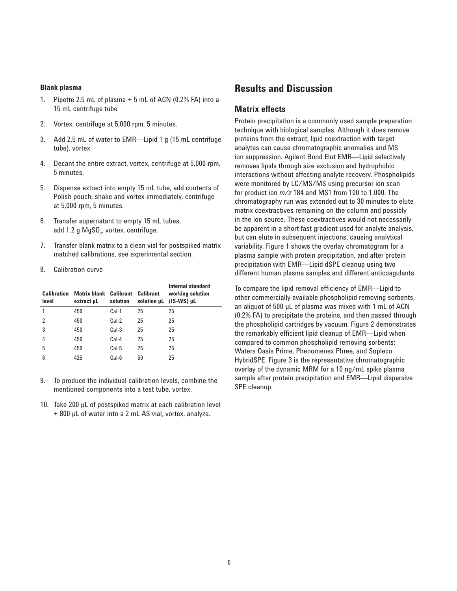#### **Blank plasma**

- 1. Pipette 2.5 mL of plasma + 5 mL of ACN (0.2% FA) into a 15 mL centrifuge tube
- 2. Vortex, centrifuge at 5,000 rpm, 5 minutes.
- 3. Add 2.5 mL of water to EMR—Lipid 1 g (15 mL centrifuge tube), vortex.
- 4. Decant the entire extract, vortex, centrifuge at 5,000 rpm, 5 minutes.
- 5. Dispense extract into empty 15 mL tube, add contents of Polish pouch, shake and vortex immediately, centrifuge at 5,000 rpm, 5 minutes.
- 6. Transfer supernatant to empty 15 mL tubes, add 1.2 g MgSO<sub>4</sub>, vortex, centrifuge.
- 7. Transfer blank matrix to a clean vial for postspiked matrix matched calibrations, see experimental section.
- 8. Calibration curve

| Calibration<br>level | Matrix blank<br>extract uL | <b>Calibrant</b><br>solution | <b>Calibrant</b><br>solution µL | Internal standard<br>working solution<br>$(IS-WS)$ µL |
|----------------------|----------------------------|------------------------------|---------------------------------|-------------------------------------------------------|
|                      | 450                        | Cal-1                        | 25                              | 25                                                    |
| 2                    | 450                        | Cal-2                        | 25                              | 25                                                    |
| 3                    | 450                        | $Cal-3$                      | 25                              | 25                                                    |
| 4                    | 450                        | Cal-4                        | 25                              | 25                                                    |
| 5                    | 450                        | Cal-5                        | 25                              | 25                                                    |
| 6                    | 425                        | Cal-6                        | 50                              | 25                                                    |

- 9. To produce the individual calibration levels, combine the mentioned components into a test tube, vortex.
- 10. Take 200 µL of postspiked matrix at each calibration level + 800 µL of water into a 2 mL AS vial, vortex, analyze.

### **Results and Discussion**

#### **Matrix effects**

Protein precipitation is a commonly used sample preparation technique with biological samples. Although it does remove proteins from the extract, lipid coextraction with target analytes can cause chromatographic anomalies and MS ion suppression. Agilent Bond Elut EMR—Lipid selectively removes lipids through size exclusion and hydrophobic interactions without affecting analyte recovery. Phospholipids were monitored by LC/MS/MS using precursor ion scan for product ion *m/z* 184 and MS1 from 100 to 1,000. The chromatography run was extended out to 30 minutes to elute matrix coextractives remaining on the column and possibly in the ion source. These coextractives would not necessarily be apparent in a short fast gradient used for analyte analysis, but can elute in subsequent injections, causing analytical variability. Figure 1 shows the overlay chromatogram for a plasma sample with protein precipitation, and after protein precipitation with EMR—Lipid dSPE cleanup using two different human plasma samples and different anticoagulants.

To compare the lipid removal efficiency of EMR—Lipid to other commercially available phospholipid removing sorbents, an aliquot of 500 µL of plasma was mixed with 1 mL of ACN (0.2% FA) to precipitate the proteins, and then passed through the phospholipid cartridges by vacuum. Figure 2 demonstrates the remarkably efficient lipid cleanup of EMR—Lipid when compared to common phospholipid-removing sorbents: Waters Oasis Prime, Phenomenex Phree, and Supleco HybridSPE. Figure 3 is the representative chromatographic overlay of the dynamic MRM for a 10 ng/mL spike plasma sample after protein precipitation and EMR—Lipid dispersive SPE cleanup.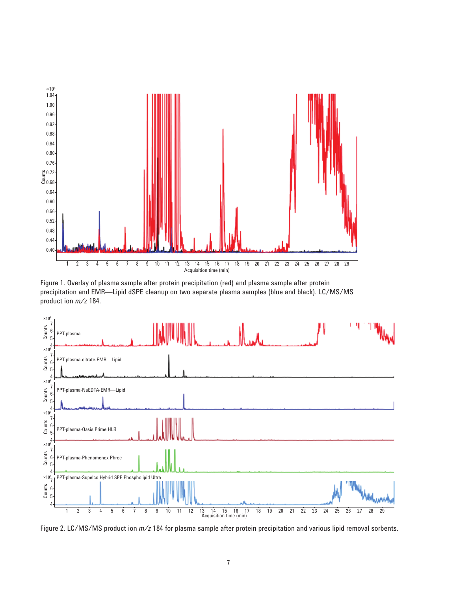

Figure 1. Overlay of plasma sample after protein precipitation (red) and plasma sample after protein precipitation and EMR—Lipid dSPE cleanup on two separate plasma samples (blue and black). LC/MS/MS product ion *m/z* 184.



Figure 2. LC/MS/MS product ion *m/z* 184 for plasma sample after protein precipitation and various lipid removal sorbents.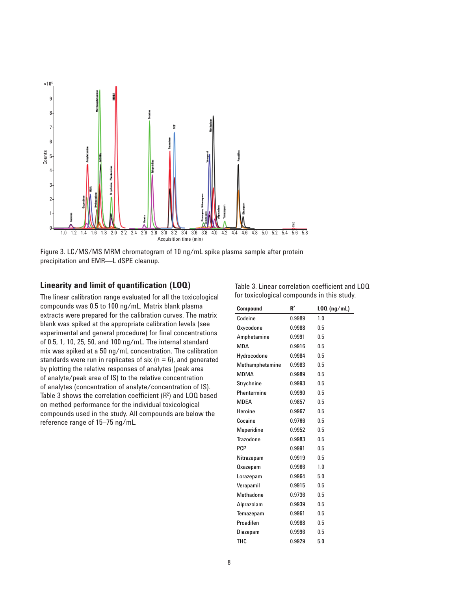

Figure 3. LC/MS/MS MRM chromatogram of 10 ng/mL spike plasma sample after protein precipitation and EMR—L dSPE cleanup.

#### **Linearity and limit of quantification (LOQ)**

The linear calibration range evaluated for all the toxicological compounds was 0.5 to 100 ng/mL. Matrix blank plasma extracts were prepared for the calibration curves. The matrix blank was spiked at the appropriate calibration levels (see experimental and general procedure) for final concentrations of 0.5, 1, 10, 25, 50, and 100 ng/mL. The internal standard mix was spiked at a 50 ng/mL concentration. The calibration standards were run in replicates of six ( $n = 6$ ), and generated by plotting the relative responses of analytes (peak area of analyte/peak area of IS) to the relative concentration of analytes (concentration of analyte/concentration of IS). Table 3 shows the correlation coefficient  $(R^2)$  and LOQ based on method performance for the individual toxicological compounds used in the study. All compounds are below the reference range of 15–75 ng/mL.

| R <sup>2</sup><br>$LOQ$ (ng/mL)<br><b>Compound</b> |  |  |  |  |  |
|----------------------------------------------------|--|--|--|--|--|
| for toxicological compounds in this study.         |  |  |  |  |  |
| Table 3. Linear correlation coefficient and LOQ    |  |  |  |  |  |

| Codeine          | 0.9989 | 1.0 |
|------------------|--------|-----|
| Oxycodone        | 0.9988 | 0.5 |
| Amphetamine      | 0.9991 | 0.5 |
| MDA              | 0.9916 | 0.5 |
| Hydrocodone      | 0.9984 | 0.5 |
| Methamphetamine  | 0.9983 | 0.5 |
| MDMA             | 0.9989 | 0.5 |
| Strychnine       | 0.9993 | 0.5 |
| Phentermine      | 0.9990 | 0.5 |
| MDEA             | 0.9857 | 0.5 |
| Heroine          | 0.9967 | 0.5 |
| Cocaine          | 0.9766 | 0.5 |
| Meperidine       | 0.9952 | 0.5 |
| Trazodone        | 0.9983 | 0.5 |
| PCP              | 0.9991 | 0.5 |
| Nitrazepam       | 0.9919 | 0.5 |
| Oxazepam         | 0.9966 | 1.0 |
| Lorazepam        | 0.9964 | 5.0 |
| Verapamil        | 0.9915 | 0.5 |
| <b>Methadone</b> | 0.9736 | 0.5 |
| Alprazolam       | 0.9939 | 0.5 |
| Temazepam        | 0.9961 | 0.5 |
| Proadifen        | 0.9988 | 0.5 |
| Diazepam         | 0.9996 | 0.5 |
| THC              | 0.9929 | 5.0 |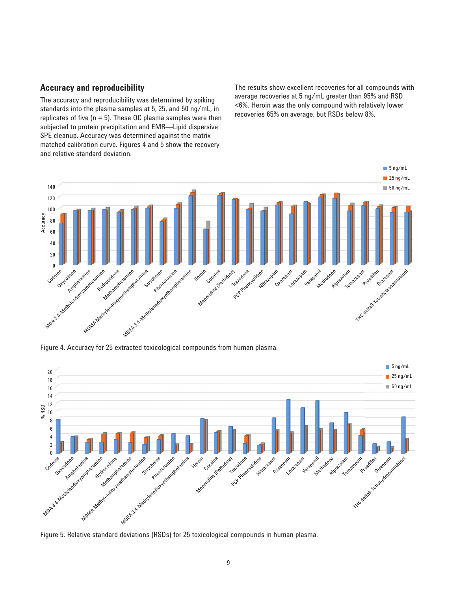#### **Accuracy and reproducibility**

The accuracy and reproducibility was determined by spiking standards into the plasma samples at 5, 25, and 50 ng/mL, in replicates of five ( $n = 5$ ). These QC plasma samples were then subjected to protein precipitation and EMR—Lipid dispersive SPE cleanup. Accuracy was determined against the matrix matched calibration curve. Figures 4 and 5 show the recovery and relative standard deviation.

The results show excellent recoveries for all compounds with average recoveries at 5 ng/mL greater than 95% and RSD <6%. Heroin was the only compound with relatively lower recoveries 65% on average, but RSDs below 8%.



Figure 4. Accuracy for 25 extracted toxicological compounds from human plasma.



Figure 5. Relative standard deviations (RSDs) for 25 toxicological compounds in human plasma.